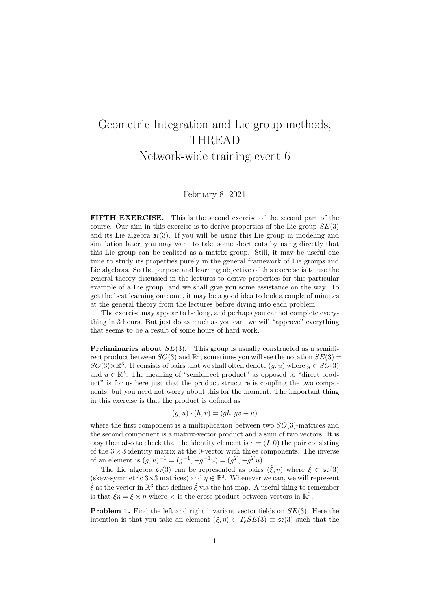## Geometric Integration and Lie group methods, THREAD Network-wide training event 6

## February 8, 2021

FIFTH EXERCISE. This is the second exercise of the second part of the course. Our aim in this exercise is to derive properties of the Lie group  $SE(3)$ and its Lie algebra  $\mathfrak{se}(3)$ . If you will be using this Lie group in modeling and simulation later, you may want to take some short cuts by using directly that this Lie group can be realised as a matrix group. Still, it may be useful one time to study its properties purely in the general framework of Lie groups and Lie algebras. So the purpose and learning objective of this exercise is to use the general theory discussed in the lectures to derive properties for this particular example of a Lie group, and we shall give you some assistance on the way. To get the best learning outcome, it may be a good idea to look a couple of minutes at the general theory from the lectures before diving into each problem.

The exercise may appear to be long, and perhaps you cannot complete everything in 3 hours. But just do as much as you can, we will "approve" everything that seems to be a result of some hours of hard work.

**Preliminaries about**  $SE(3)$ . This group is usually constructed as a semidirect product between  $SO(3)$  and  $\mathbb{R}^3$ , sometimes you will see the notation  $SE(3)$  =  $SO(3) \rtimes \mathbb{R}^3$ . It consists of pairs that we shall often denote  $(g, u)$  where  $g \in SO(3)$ and  $u \in \mathbb{R}^3$ . The meaning of "semidirect product" as opposed to "direct product" is for us here just that the product structure is coupling the two components, but you need not worry about this for the moment. The important thing in this exercise is that the product is defined as

$$
(g, u) \cdot (h, v) = (gh, gv + u)
$$

where the first component is a multiplication between two  $SO(3)$ -matrices and the second component is a matrix-vector product and a sum of two vectors. It is easy then also to check that the identity element is  $e = (I, 0)$  the pair consisting of the  $3 \times 3$  identity matrix at the 0-vector with three components. The inverse of an element is  $(g, u)^{-1} = (g^{-1}, -g^{-1}u) = (g^T, -g^T u)$ .

The Lie algebra  $\mathfrak{se}(3)$  can be represented as pairs  $(\hat{\xi}, \eta)$  where  $\hat{\xi} \in \mathfrak{so}(3)$ (skew-symmetric 3×3 matrices) and  $\eta \in \mathbb{R}^3$ . Whenever we can, we will represent  $\hat{\xi}$  as the vector in  $\mathbb{R}^3$  that defines  $\hat{\xi}$  via the hat map. A useful thing to remember is that  $\hat{\xi}\eta = \xi \times \eta$  where  $\times$  is the cross product between vectors in  $\mathbb{R}^3$ .

**Problem 1.** Find the left and right invariant vector fields on  $SE(3)$ . Here the intention is that you take an element  $(\xi, \eta) \in T_e SE(3) \equiv \mathfrak{se}(3)$  such that the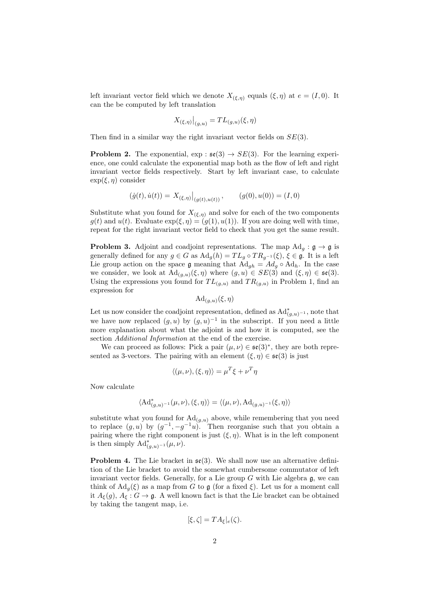left invariant vector field which we denote  $X_{(\xi,\eta)}$  equals  $(\xi,\eta)$  at  $e = (I,0)$ . It can the be computed by left translation

$$
X_{(\xi,\eta)}\big|_{(g,u)} = TL_{(g,u)}(\xi,\eta)
$$

Then find in a similar way the right invariant vector fields on  $SE(3)$ .

**Problem 2.** The exponential,  $\exp : \mathfrak{se}(3) \rightarrow SE(3)$ . For the learning experience, one could calculate the exponential map both as the flow of left and right invariant vector fields respectively. Start by left invariant case, to calculate  $\exp(\xi, \eta)$  consider

$$
(\dot{g}(t), \dot{u}(t)) = X_{(\xi, \eta)}\big|_{(g(t), u(t))}, \qquad (g(0), u(0)) = (I, 0)
$$

Substitute what you found for  $X_{(\xi,\eta)}$  and solve for each of the two components  $g(t)$  and  $u(t)$ . Evaluate  $\exp(\xi, \eta) = (g(1), u(1))$ . If you are doing well with time, repeat for the right invariant vector field to check that you get the same result.

**Problem 3.** Adjoint and coadjoint representations. The map  $\text{Ad}_g : \mathfrak{g} \to \mathfrak{g}$  is generally defined for any  $g \in G$  as  $\mathrm{Ad}_g(h) = TL_g \circ TR_{g^{-1}}(\xi), \xi \in \mathfrak{g}$ . It is a left Lie group action on the space g meaning that  $Ad_{gh} = Ad_g \circ Ad_h$ . In the case we consider, we look at  $\mathrm{Ad}_{(g,u)}(\xi,\eta)$  where  $(g,u) \in SE(3)$  and  $(\xi,\eta) \in \mathfrak{se}(3)$ . Using the expressions you found for  $TL_{(g,u)}$  and  $TR_{(g,u)}$  in Problem 1, find an expression for

 $\mathrm{Ad}_{(g,u)}(\xi,\eta)$ 

Let us now consider the coadjoint representation, defined as  $\mathrm{Ad}^*_{(g,u)^{-1}}$ , note that we have now replaced  $(g, u)$  by  $(g, u)^{-1}$  in the subscript. If you need a little more explanation about what the adjoint is and how it is computed, see the section *Additional Information* at the end of the exercise.

We can proceed as follows: Pick a pair  $(\mu, \nu) \in \mathfrak{se}(3)^*$ , they are both represented as 3-vectors. The pairing with an element  $(\xi, \eta) \in \mathfrak{se}(3)$  is just

$$
\langle (\mu, \nu), (\xi, \eta) \rangle = \mu^T \xi + \nu^T \eta
$$

Now calculate

$$
\langle \mathrm{Ad}^*_{(g,u)^{-1}}(\mu,\nu),(\xi,\eta) \rangle = \langle (\mu,\nu), \mathrm{Ad}_{(g,u)^{-1}}(\xi,\eta) \rangle
$$

substitute what you found for  $\mathrm{Ad}_{(g,u)}$  above, while remembering that you need to replace  $(g, u)$  by  $(g^{-1}, -g^{-1}u)$ . Then reorganise such that you obtain a pairing where the right component is just  $(\xi, \eta)$ . What is in the left component is then simply  $\mathrm{Ad}^*_{(g,u)^{-1}}(\mu,\nu)$ .

**Problem 4.** The Lie bracket in  $\mathfrak{se}(3)$ . We shall now use an alternative definition of the Lie bracket to avoid the somewhat cumbersome commutator of left invariant vector fields. Generally, for a Lie group  $G$  with Lie algebra  $\mathfrak{g}$ , we can think of  $\text{Ad}_q(\xi)$  as a map from G to g (for a fixed  $\xi$ ). Let us for a moment call it  $A_{\xi}(g)$ ,  $A_{\xi}: G \to \mathfrak{g}$ . A well known fact is that the Lie bracket can be obtained by taking the tangent map, i.e.

$$
[\xi,\zeta] = TA_{\xi}|_e(\zeta).
$$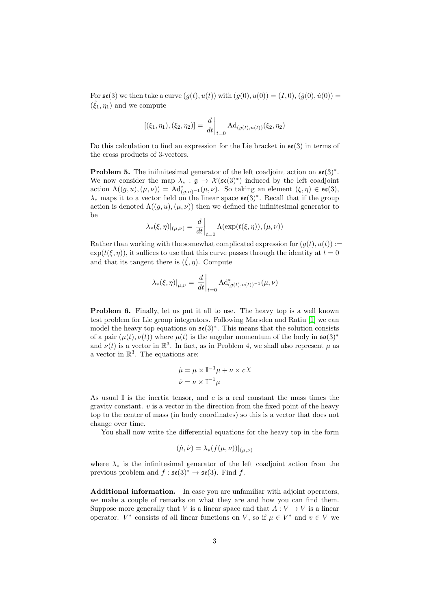For  $\mathfrak{se}(3)$  we then take a curve  $(g(t), u(t))$  with  $(g(0), u(0)) = (I, 0), (\dot{g}(0), \dot{u}(0)) =$  $(\hat{\xi}_1, \eta_1)$  and we compute

$$
[(\xi_1, \eta_1), (\xi_2, \eta_2)] = \frac{d}{dt}\bigg|_{t=0} \mathrm{Ad}_{(g(t), u(t))}(\xi_2, \eta_2)
$$

Do this calculation to find an expression for the Lie bracket in  $\mathfrak{se}(3)$  in terms of the cross products of 3-vectors.

**Problem 5.** The inifinitesimal generator of the left coadjoint action on  $\mathfrak{se}(3)^*$ . We now consider the map  $\lambda_* : \mathfrak{g} \to \mathcal{X}(\mathfrak{se}(3)^*)$  induced by the left coadjoint action  $\Lambda((g, u), (\mu, \nu)) = \mathrm{Ad}^*_{(g, u)^{-1}}(\mu, \nu)$ . So taking an element  $(\xi, \eta) \in \mathfrak{se}(3)$ ,  $\lambda_*$  maps it to a vector field on the linear space  $\mathfrak{se}(3)^*$ . Recall that if the group action is denoted  $\Lambda((q, u), (\mu, \nu))$  then we defined the infinitesimal generator to be

$$
\lambda_{*}(\xi,\eta)|_{(\mu,\nu)} = \frac{d}{dt}\bigg|_{t=0} \Lambda(\exp(t(\xi,\eta)),(\mu,\nu))
$$

Rather than working with the somewhat complicated expression for  $(q(t), u(t)) :=$  $\exp(t(\xi, \eta))$ , it suffices to use that this curve passes through the identity at  $t = 0$ and that its tangent there is  $(\hat{\xi}, \eta)$ . Compute

$$
\lambda_{*}(\xi,\eta)|_{\mu,\nu} = \frac{d}{dt}\bigg|_{t=0} \mathrm{Ad}_{(g(t),u(t))^{-1}}^{*}(\mu,\nu)
$$

Problem 6. Finally, let us put it all to use. The heavy top is a well known test problem for Lie group integrators. Following Marsden and Ratiu [\[1\]](#page-3-0) we can model the heavy top equations on  $\mathfrak{se}(3)^*$ . This means that the solution consists of a pair  $(\mu(t), \nu(t))$  where  $\mu(t)$  is the angular momentum of the body in  $\mathfrak{so}(3)^*$ and  $\nu(t)$  is a vector in  $\mathbb{R}^3$ . In fact, as in Problem 4, we shall also represent  $\mu$  as a vector in  $\mathbb{R}^3$ . The equations are:

$$
\dot{\mu} = \mu \times \mathbb{I}^{-1}\mu + \nu \times cX
$$

$$
\dot{\nu} = \nu \times \mathbb{I}^{-1}\mu
$$

As usual  $\mathbb I$  is the inertia tensor, and c is a real constant the mass times the gravity constant.  $v$  is a vector in the direction from the fixed point of the heavy top to the center of mass (in body coordinates) so this is a vector that does not change over time.

You shall now write the differential equations for the heavy top in the form

$$
(\dot{\mu}, \dot{\nu}) = \lambda_* (f(\mu, \nu))|_{(\mu, \nu)}
$$

where  $\lambda_*$  is the infinitesimal generator of the left coadjoint action from the previous problem and  $f : \mathfrak{se}(3)^* \to \mathfrak{se}(3)$ . Find f.

Additional information. In case you are unfamiliar with adjoint operators, we make a couple of remarks on what they are and how you can find them. Suppose more generally that V is a linear space and that  $A: V \to V$  is a linear operator.  $V^*$  consists of all linear functions on V, so if  $\mu \in V^*$  and  $v \in V$  we